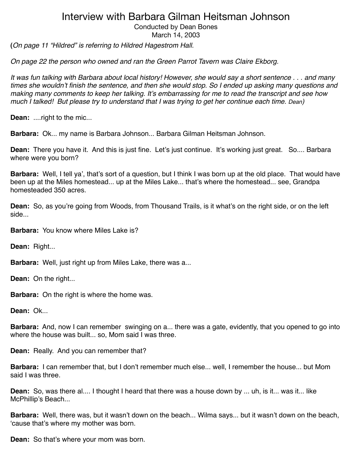Conducted by Dean Bones

March 14, 2003

**(***On page 11 "Hildred" is referring to Hildred Hagestrom Hall.*

*On page 22 the person who owned and ran the Green Parrot Tavern was Claire Ekborg.*

*It was fun talking with Barbara about local history! However, she would say a short sentence . . . and many times she wouldn*'*t finish the sentence, and then she would stop. So I ended up asking many questions and making many comments to keep her talking. It*'*s embarrassing for me to read the transcript and see how much I talked! But please try to understand that I was trying to get her continue each time. Dean)*

**Dean:** ....right to the mic...

**Barbara:** Ok... my name is Barbara Johnson... Barbara Gilman Heitsman Johnson.

**Dean:** There you have it. And this is just fine. Let's just continue. It's working just great. So.... Barbara where were you born?

**Barbara:** Well, I tell ya', that's sort of a question, but I think I was born up at the old place. That would have been up at the Miles homestead... up at the Miles Lake... that's where the homestead... see, Grandpa homesteaded 350 acres.

**Dean:** So, as you're going from Woods, from Thousand Trails, is it what's on the right side, or on the left side...

**Barbara:** You know where Miles Lake is?

**Dean:** Right...

**Barbara:** Well, just right up from Miles Lake, there was a...

**Dean:** On the right...

**Barbara:** On the right is where the home was.

**Dean:** Ok...

**Barbara:** And, now I can remember swinging on a... there was a gate, evidently, that you opened to go into where the house was built... so, Mom said I was three.

**Dean:** Really. And you can remember that?

**Barbara:** I can remember that, but I don't remember much else... well, I remember the house... but Mom said I was three.

**Dean:** So, was there al.... I thought I heard that there was a house down by ... uh, is it... was it... like McPhillip's Beach...

**Barbara:** Well, there was, but it wasn't down on the beach... Wilma says... but it wasn't down on the beach, ʻcause that's where my mother was born.

**Dean:** So that's where your mom was born.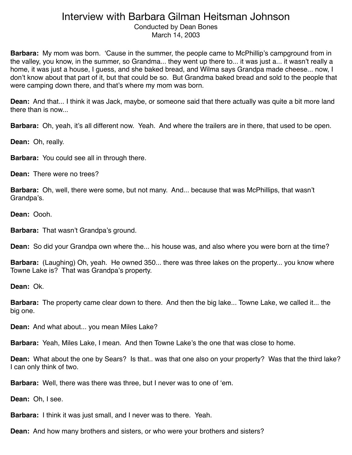Conducted by Dean Bones March 14, 2003

**Barbara:** My mom was born. ʻCause in the summer, the people came to McPhillip's campground from in the valley, you know, in the summer, so Grandma... they went up there to... it was just a... it wasn't really a home, it was just a house, I guess, and she baked bread, and Wilma says Grandpa made cheese... now, I don't know about that part of it, but that could be so. But Grandma baked bread and sold to the people that were camping down there, and that's where my mom was born.

**Dean:** And that... I think it was Jack, maybe, or someone said that there actually was quite a bit more land there than is now...

**Barbara:** Oh, yeah, it's all different now. Yeah. And where the trailers are in there, that used to be open.

**Dean:** Oh, really.

**Barbara:** You could see all in through there.

**Dean:** There were no trees?

**Barbara:** Oh, well, there were some, but not many. And... because that was McPhillips, that wasn't Grandpa's.

**Dean:** Oooh.

**Barbara:** That wasn't Grandpa's ground.

**Dean:** So did your Grandpa own where the... his house was, and also where you were born at the time?

**Barbara:** (Laughing) Oh, yeah. He owned 350... there was three lakes on the property... you know where Towne Lake is? That was Grandpa's property.

**Dean:** Ok.

**Barbara:** The property came clear down to there. And then the big lake... Towne Lake, we called it... the big one.

**Dean:** And what about... you mean Miles Lake?

**Barbara:** Yeah, Miles Lake, I mean. And then Towne Lake's the one that was close to home.

**Dean:** What about the one by Sears? Is that.. was that one also on your property? Was that the third lake? I can only think of two.

**Barbara:** Well, there was there was three, but I never was to one of ʻem.

**Dean:** Oh, I see.

**Barbara:** I think it was just small, and I never was to there. Yeah.

**Dean:** And how many brothers and sisters, or who were your brothers and sisters?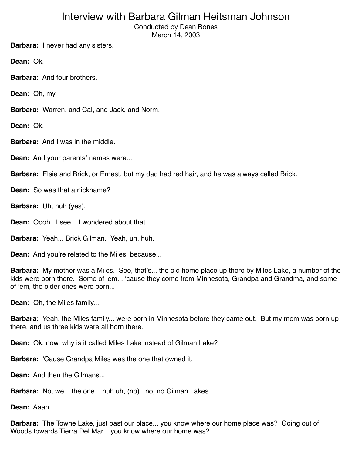Conducted by Dean Bones March 14, 2003

**Barbara:** I never had any sisters.

**Dean:** Ok.

**Barbara:** And four brothers.

**Dean:** Oh, my.

**Barbara:** Warren, and Cal, and Jack, and Norm.

**Dean:** Ok.

**Barbara:** And I was in the middle.

**Dean:** And your parents' names were...

**Barbara:** Elsie and Brick, or Ernest, but my dad had red hair, and he was always called Brick.

**Dean:** So was that a nickname?

**Barbara:** Uh, huh (yes).

**Dean:** Oooh. I see... I wondered about that.

**Barbara:** Yeah... Brick Gilman. Yeah, uh, huh.

**Dean:** And you're related to the Miles, because...

**Barbara:** My mother was a Miles. See, that's... the old home place up there by Miles Lake, a number of the kids were born there. Some of ʻem... ʻcause they come from Minnesota, Grandpa and Grandma, and some of ʻem, the older ones were born...

**Dean:** Oh, the Miles family...

**Barbara:** Yeah, the Miles family... were born in Minnesota before they came out. But my mom was born up there, and us three kids were all born there.

**Dean:** Ok, now, why is it called Miles Lake instead of Gilman Lake?

**Barbara:** ʻCause Grandpa Miles was the one that owned it.

**Dean:** And then the Gilmans...

**Barbara:** No, we... the one... huh uh, (no).. no, no Gilman Lakes.

**Dean:** Aaah...

**Barbara:** The Towne Lake, just past our place... you know where our home place was? Going out of Woods towards Tierra Del Mar... you know where our home was?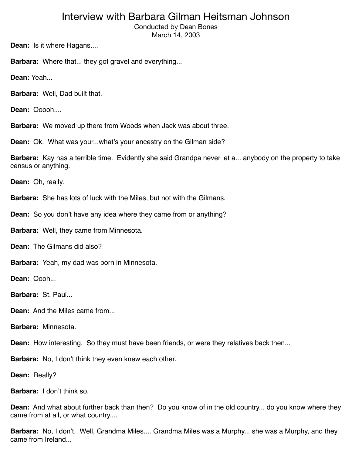Conducted by Dean Bones March 14, 2003

**Dean:** Is it where Hagans....

**Barbara:** Where that... they got gravel and everything...

**Dean:** Yeah...

**Barbara:** Well, Dad built that.

**Dean:** Ooooh....

**Barbara:** We moved up there from Woods when Jack was about three.

**Dean:** Ok. What was your...what's your ancestry on the Gilman side?

**Barbara:** Kay has a terrible time. Evidently she said Grandpa never let a... anybody on the property to take census or anything.

**Dean:** Oh, really.

**Barbara:** She has lots of luck with the Miles, but not with the Gilmans.

**Dean:** So you don't have any idea where they came from or anything?

**Barbara:** Well, they came from Minnesota.

**Dean:** The Gilmans did also?

**Barbara:** Yeah, my dad was born in Minnesota.

**Dean:** Oooh...

**Barbara:** St. Paul...

**Dean:** And the Miles came from...

**Barbara:** Minnesota.

**Dean:** How interesting. So they must have been friends, or were they relatives back then...

**Barbara:** No, I don't think they even knew each other.

**Dean:** Really?

**Barbara:** I don't think so.

**Dean:** And what about further back than then? Do you know of in the old country... do you know where they came from at all, or what country....

**Barbara:** No, I don't. Well, Grandma Miles.... Grandma Miles was a Murphy... she was a Murphy, and they came from Ireland...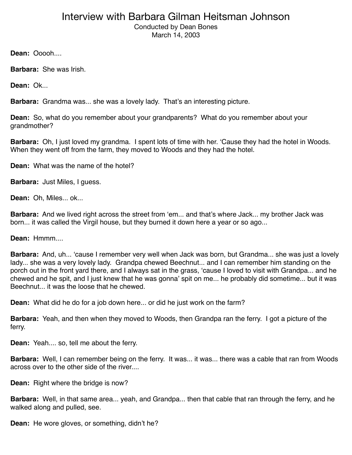Conducted by Dean Bones March 14, 2003

**Dean: Ooooh....** 

**Barbara:** She was Irish.

**Dean:** Ok...

**Barbara:** Grandma was... she was a lovely lady. That's an interesting picture.

**Dean:** So, what do you remember about your grandparents? What do you remember about your grandmother?

**Barbara:** Oh, I just loved my grandma. I spent lots of time with her. ʻCause they had the hotel in Woods. When they went off from the farm, they moved to Woods and they had the hotel.

**Dean:** What was the name of the hotel?

**Barbara:** Just Miles, I guess.

**Dean:** Oh, Miles... ok...

**Barbara:** And we lived right across the street from ʻem... and that's where Jack... my brother Jack was born... it was called the Virgil house, but they burned it down here a year or so ago...

**Dean:** Hmmm....

**Barbara:** And, uh... ʻcause I remember very well when Jack was born, but Grandma... she was just a lovely lady... she was a very lovely lady. Grandpa chewed Beechnut... and I can remember him standing on the porch out in the front yard there, and I always sat in the grass, ʻcause I loved to visit with Grandpa... and he chewed and he spit, and I just knew that he was gonna' spit on me... he probably did sometime... but it was Beechnut... it was the loose that he chewed.

**Dean:** What did he do for a job down here... or did he just work on the farm?

**Barbara:** Yeah, and then when they moved to Woods, then Grandpa ran the ferry. I got a picture of the ferry.

**Dean:** Yeah.... so, tell me about the ferry.

**Barbara:** Well, I can remember being on the ferry. It was... it was... there was a cable that ran from Woods across over to the other side of the river....

**Dean:** Right where the bridge is now?

**Barbara:** Well, in that same area... yeah, and Grandpa... then that cable that ran through the ferry, and he walked along and pulled, see.

**Dean:** He wore gloves, or something, didn't he?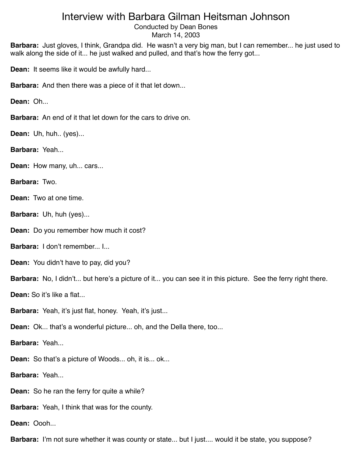Conducted by Dean Bones March 14, 2003

**Barbara:** Just gloves, I think, Grandpa did. He wasn't a very big man, but I can remember... he just used to walk along the side of it... he just walked and pulled, and that's how the ferry got...

**Dean:** It seems like it would be awfully hard...

**Barbara:** And then there was a piece of it that let down...

**Dean:** Oh...

**Barbara:** An end of it that let down for the cars to drive on.

**Dean:** Uh, huh.. (yes)...

**Barbara:** Yeah...

**Dean:** How many, uh... cars...

**Barbara:** Two.

**Dean:** Two at one time.

**Barbara:** Uh, huh (yes)...

**Dean:** Do you remember how much it cost?

**Barbara:** I don't remember... I...

**Dean:** You didn't have to pay, did you?

**Barbara:** No, I didn't... but here's a picture of it... you can see it in this picture. See the ferry right there.

**Dean:** So it's like a flat...

**Barbara:** Yeah, it's just flat, honey. Yeah, it's just...

**Dean:** Ok... that's a wonderful picture... oh, and the Della there, too...

**Barbara:** Yeah...

**Dean:** So that's a picture of Woods... oh, it is... ok...

**Barbara:** Yeah...

**Dean:** So he ran the ferry for quite a while?

**Barbara:** Yeah, I think that was for the county.

**Dean:** Oooh...

**Barbara:** I'm not sure whether it was county or state... but I just.... would it be state, you suppose?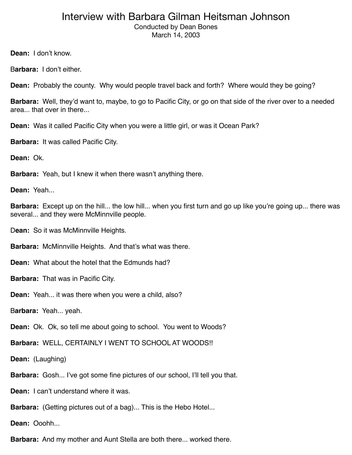#### Interview with Barbara Gilman Heitsman Johnson Conducted by Dean Bones

March 14, 2003

**Dean:** I don't know.

B**arbara:** I don't either.

**Dean:** Probably the county. Why would people travel back and forth? Where would they be going?

**Barbara:** Well, they'd want to, maybe, to go to Pacific City, or go on that side of the river over to a needed area... that over in there...

**Dean:** Was it called Pacific City when you were a little girl, or was it Ocean Park?

**Barbara:** It was called Pacific City.

**Dean:** Ok.

**Barbara:** Yeah, but I knew it when there wasn't anything there.

**Dean:** Yeah...

**Barbara:** Except up on the hill... the low hill... when you first turn and go up like you're going up... there was several... and they were McMinnville people.

D**ean:** So it was McMinnville Heights.

**Barbara:** McMinnville Heights. And that's what was there.

**Dean:** What about the hotel that the Edmunds had?

**Barbara:** That was in Pacific City.

**Dean:** Yeah... it was there when you were a child, also?

B**arbara:** Yeah... yeah.

**Dean:** Ok. Ok, so tell me about going to school. You went to Woods?

**Barbara:** WELL, CERTAINLY I WENT TO SCHOOL AT WOODS!!

**Dean:** (Laughing)

**Barbara:** Gosh... I've got some fine pictures of our school, I'll tell you that.

**Dean:** I can't understand where it was.

**Barbara:** (Getting pictures out of a bag)... This is the Hebo Hotel...

**Dean:** Ooohh...

**Barbara:** And my mother and Aunt Stella are both there... worked there.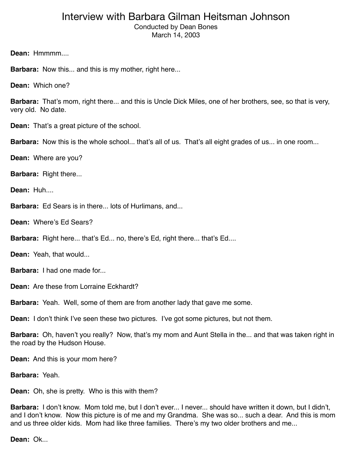Conducted by Dean Bones March 14, 2003

**Dean:** Hmmmm....

**Barbara:** Now this... and this is my mother, right here...

**Dean:** Which one?

**Barbara:** That's mom, right there... and this is Uncle Dick Miles, one of her brothers, see, so that is very, very old. No date.

**Dean:** That's a great picture of the school.

**Barbara:** Now this is the whole school... that's all of us. That's all eight grades of us... in one room...

**Dean:** Where are you?

**Barbara:** Right there...

**Dean:** Huh....

**Barbara:** Ed Sears is in there... lots of Hurlimans, and...

**Dean:** Where's Ed Sears?

**Barbara:** Right here... that's Ed... no, there's Ed, right there... that's Ed....

**Dean:** Yeah, that would...

**Barbara:** I had one made for

**Dean:** Are these from Lorraine Eckhardt?

**Barbara:** Yeah. Well, some of them are from another lady that gave me some.

**Dean:** I don't think I've seen these two pictures. I've got some pictures, but not them.

**Barbara:** Oh, haven't you really? Now, that's my mom and Aunt Stella in the... and that was taken right in the road by the Hudson House.

**Dean:** And this is your mom here?

**Barbara:** Yeah.

**Dean:** Oh, she is pretty. Who is this with them?

**Barbara:** I don't know. Mom told me, but I don't ever... I never... should have written it down, but I didn't, and I don't know. Now this picture is of me and my Grandma. She was so... such a dear. And this is mom and us three older kids. Mom had like three families. There's my two older brothers and me...

**Dean:** Ok...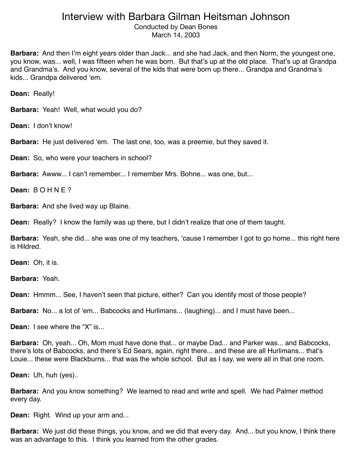Conducted by Dean Bones March 14, 2003

**Barbara:** And then I'm eight years older than Jack... and she had Jack, and then Norm, the youngest one, you know, was... well, I was fifteen when he was born. But that's up at the old place. That's up at Grandpa and Grandma's. And you know, several of the kids that were born up there... Grandpa and Grandma's kids... Grandpa delivered ʻem.

**Dean:** Really!

**Barbara:** Yeah! Well, what would you do?

**Dean:** I don't know!

**Barbara:** He just delivered ʻem. The last one, too, was a preemie, but they saved it.

**Dean:** So, who were your teachers in school?

**Barbara:** Awww... I can't remember... I remember Mrs. Bohne... was one, but...

**Dean:** B O H N E ?

**Barbara:** And she lived way up Blaine.

**Dean:** Really? I know the family was up there, but I didn't realize that one of them taught.

**Barbara:** Yeah, she did... she was one of my teachers, ʻcause I remember I got to go home... this right here is Hildred.

**Dean:** Oh, it is.

**Barbara:** Yeah.

**Dean:** Hmmm... See, I haven't seen that picture, either? Can you identify most of those people?

**Barbara:** No... a lot of ʻem... Babcocks and Hurlimans... (laughing)... and I must have been...

**Dean:** I see where the "X" is...

**Barbara:** Oh, yeah... Oh, Mom must have done that... or maybe Dad... and Parker was... and Babcocks, there's lots of Babcocks, and there's Ed Sears, again, right there... and these are all Hurlimans... that's Louie... these were Blackburns... that was the whole school. But as I say, we were all in that one room.

**Dean:** Uh, huh (yes)..

**Barbara:** And you know something? We learned to read and write and spell. We had Palmer method every day.

**Dean:** Right. Wind up your arm and...

**Barbara:** We just did these things, you know, and we did that every day. And... but you know, I think there was an advantage to this. I think you learned from the other grades.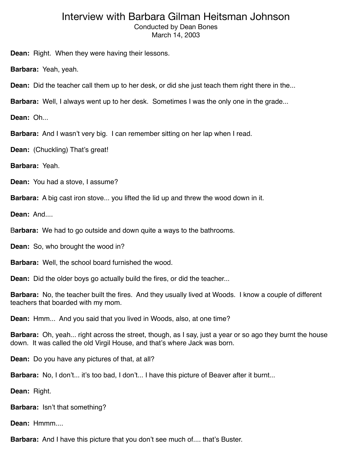Conducted by Dean Bones March 14, 2003

**Dean:** Right. When they were having their lessons.

**Barbara:** Yeah, yeah.

**Dean:** Did the teacher call them up to her desk, or did she just teach them right there in the...

**Barbara:** Well, I always went up to her desk. Sometimes I was the only one in the grade...

**Dean:** Oh...

**Barbara:** And I wasn't very big. I can remember sitting on her lap when I read.

**Dean:** (Chuckling) That's great!

**Barbara:** Yeah.

**Dean:** You had a stove, I assume?

**Barbara:** A big cast iron stove... you lifted the lid up and threw the wood down in it.

**Dean:** And....

B**arbara:** We had to go outside and down quite a ways to the bathrooms.

**Dean:** So, who brought the wood in?

**Barbara:** Well, the school board furnished the wood.

**Dean:** Did the older boys go actually build the fires, or did the teacher...

**Barbara:** No, the teacher built the fires. And they usually lived at Woods. I know a couple of different teachers that boarded with my mom.

**Dean:** Hmm... And you said that you lived in Woods, also, at one time?

**Barbara:** Oh, yeah... right across the street, though, as I say, just a year or so ago they burnt the house down. It was called the old Virgil House, and that's where Jack was born.

**Dean:** Do you have any pictures of that, at all?

**Barbara:** No, I don't... it's too bad, I don't... I have this picture of Beaver after it burnt...

**Dean:** Right.

**Barbara:** Isn't that something?

**Dean:** Hmmm....

**Barbara:** And I have this picture that you don't see much of.... that's Buster.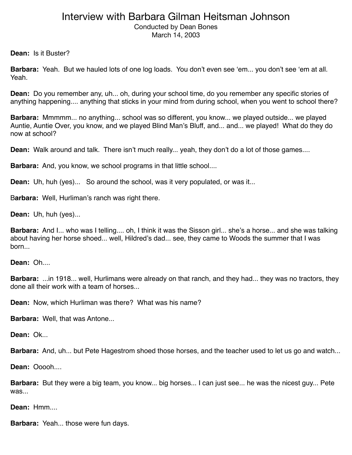Conducted by Dean Bones March 14, 2003

**Dean:** Is it Buster?

**Barbara:** Yeah. But we hauled lots of one log loads. You don't even see ʻem... you don't see ʻem at all. Yeah.

**Dean:** Do you remember any, uh... oh, during your school time, do you remember any specific stories of anything happening.... anything that sticks in your mind from during school, when you went to school there?

**Barbara:** Mmmmm... no anything... school was so different, you know... we played outside... we played Auntie, Auntie Over, you know, and we played Blind Man's Bluff, and... and... we played! What do they do now at school?

**Dean:** Walk around and talk. There isn't much really... yeah, they don't do a lot of those games....

**Barbara:** And, you know, we school programs in that little school....

**Dean:** Uh, huh (yes)... So around the school, was it very populated, or was it...

B**arbara:** Well, Hurliman's ranch was right there.

**Dean:** Uh, huh (yes)...

**Barbara:** And I... who was I telling.... oh, I think it was the Sisson girl... she's a horse... and she was talking about having her horse shoed... well, Hildred's dad... see, they came to Woods the summer that I was born...

**Dean:** Oh....

**Barbara:** ...in 1918... well, Hurlimans were already on that ranch, and they had... they was no tractors, they done all their work with a team of horses...

**Dean:** Now, which Hurliman was there? What was his name?

**Barbara:** Well, that was Antone...

**Dean:** Ok...

**Barbara:** And, uh... but Pete Hagestrom shoed those horses, and the teacher used to let us go and watch...

**Dean: Ooooh....** 

**Barbara:** But they were a big team, you know... big horses... I can just see... he was the nicest guy... Pete was...

**Dean:** Hmm....

**Barbara:** Yeah... those were fun days.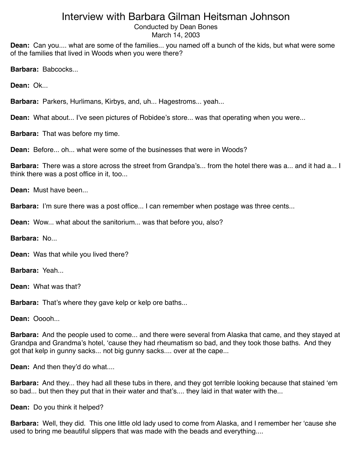Conducted by Dean Bones March 14, 2003

**Dean:** Can you.... what are some of the families... you named off a bunch of the kids, but what were some of the families that lived in Woods when you were there?

**Barbara:** Babcocks...

**Dean:** Ok...

**Barbara:** Parkers, Hurlimans, Kirbys, and, uh... Hagestroms... yeah...

**Dean:** What about... I've seen pictures of Robidee's store... was that operating when you were...

**Barbara:** That was before my time.

**Dean:** Before oh, what were some of the businesses that were in Woods?

**Barbara:** There was a store across the street from Grandpa's... from the hotel there was a... and it had a... I think there was a post office in it, too...

**Dean:** Must have been...

**Barbara:** I'm sure there was a post office... I can remember when postage was three cents...

**Dean:** Wow... what about the sanitorium... was that before you, also?

**Barbara:** No...

**Dean:** Was that while you lived there?

**Barbara:** Yeah...

**Dean:** What was that?

**Barbara:** That's where they gave kelp or kelp ore baths...

**Dean:** Ooooh...

**Barbara:** And the people used to come... and there were several from Alaska that came, and they stayed at Grandpa and Grandma's hotel, ʻcause they had rheumatism so bad, and they took those baths. And they got that kelp in gunny sacks... not big gunny sacks.... over at the cape...

**Dean:** And then they'd do what....

**Barbara:** And they... they had all these tubs in there, and they got terrible looking because that stained ʻem so bad... but then they put that in their water and that's.... they laid in that water with the...

**Dean:** Do you think it helped?

**Barbara:** Well, they did. This one little old lady used to come from Alaska, and I remember her ʻcause she used to bring me beautiful slippers that was made with the beads and everything....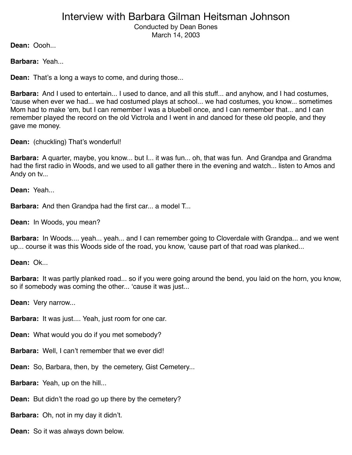Conducted by Dean Bones March 14, 2003

**Dean:** Oooh...

**Barbara:** Yeah...

**Dean:** That's a long a ways to come, and during those...

**Barbara:** And I used to entertain... I used to dance, and all this stuff... and anyhow, and I had costumes, ʻcause when ever we had... we had costumed plays at school... we had costumes, you know... sometimes Mom had to make ʻem, but I can remember I was a bluebell once, and I can remember that... and I can remember played the record on the old Victrola and I went in and danced for these old people, and they gave me money.

**Dean:** (chuckling) That's wonderful!

**Barbara:** A quarter, maybe, you know... but I... it was fun... oh, that was fun. And Grandpa and Grandma had the first radio in Woods, and we used to all gather there in the evening and watch... listen to Amos and Andy on tv...

**Dean:** Yeah...

**Barbara:** And then Grandpa had the first car... a model T...

**Dean:** In Woods, you mean?

**Barbara:** In Woods.... yeah... yeah... and I can remember going to Cloverdale with Grandpa... and we went up... course it was this Woods side of the road, you know, ʻcause part of that road was planked...

**Dean:** Ok...

**Barbara:** It was partly planked road... so if you were going around the bend, you laid on the horn, you know, so if somebody was coming the other... ʻcause it was just...

**Dean:** Very narrow...

**Barbara:** It was just.... Yeah, just room for one car.

**Dean:** What would you do if you met somebody?

**Barbara:** Well, I can't remember that we ever did!

**Dean:** So, Barbara, then, by the cemetery, Gist Cemetery...

**Barbara:** Yeah, up on the hill...

**Dean:** But didn't the road go up there by the cemetery?

**Barbara:** Oh, not in my day it didn't.

**Dean:** So it was always down below.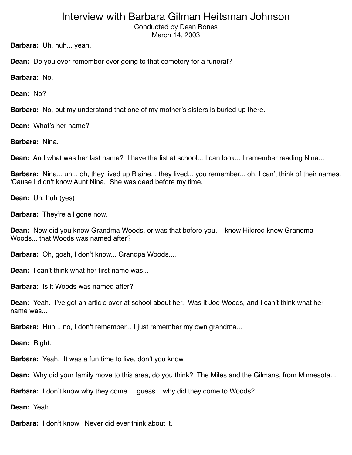Conducted by Dean Bones March 14, 2003

**Barbara:** Uh, huh... yeah.

**Dean:** Do you ever remember ever going to that cemetery for a funeral?

**Barbara:** No.

**Dean:** No?

**Barbara:** No, but my understand that one of my mother's sisters is buried up there.

**Dean:** What's her name?

**Barbara:** Nina.

**Dean:** And what was her last name? I have the list at school... I can look... I remember reading Nina...

**Barbara:** Nina... uh... oh, they lived up Blaine... they lived... you remember... oh, I can't think of their names. ʻCause I didn't know Aunt Nina. She was dead before my time.

**Dean:** Uh, huh (yes)

**Barbara:** They're all gone now.

**Dean:** Now did you know Grandma Woods, or was that before you. I know Hildred knew Grandma Woods that Woods was named after?

**Barbara:** Oh, gosh, I don't know... Grandpa Woods....

**Dean:** I can't think what her first name was.

**Barbara:** Is it Woods was named after?

**Dean:** Yeah. I've got an article over at school about her. Was it Joe Woods, and I can't think what her name was...

**Barbara:** Huh... no, I don't remember... I just remember my own grandma...

**Dean:** Right.

**Barbara:** Yeah. It was a fun time to live, don't you know.

**Dean:** Why did your family move to this area, do you think? The Miles and the Gilmans, from Minnesota...

**Barbara:** I don't know why they come. I guess... why did they come to Woods?

**Dean:** Yeah.

**Barbara:** I don't know. Never did ever think about it.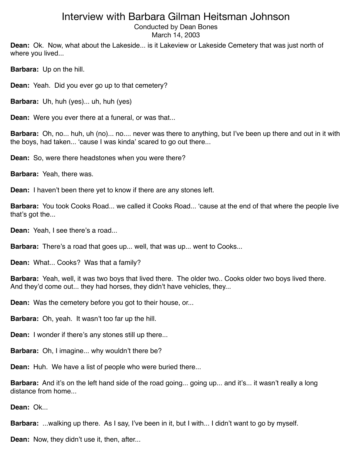Conducted by Dean Bones March 14, 2003

**Dean:** Ok. Now, what about the Lakeside... is it Lakeview or Lakeside Cemetery that was just north of where you lived...

**Barbara:** Up on the hill.

**Dean:** Yeah. Did you ever go up to that cemetery?

**Barbara:** Uh, huh (yes)... uh, huh (yes)

**Dean:** Were you ever there at a funeral, or was that...

**Barbara:** Oh, no... huh, uh (no)... no.... never was there to anything, but I've been up there and out in it with the boys, had taken... ʻcause I was kinda' scared to go out there...

**Dean:** So, were there headstones when you were there?

**Barbara:** Yeah, there was.

**Dean:** I haven't been there yet to know if there are any stones left.

**Barbara:** You took Cooks Road... we called it Cooks Road... ʻcause at the end of that where the people live that's got the...

**Dean:** Yeah, I see there's a road...

**Barbara:** There's a road that goes up... well, that was up... went to Cooks...

**Dean:** What... Cooks? Was that a family?

**Barbara:** Yeah, well, it was two boys that lived there. The older two.. Cooks older two boys lived there. And they'd come out... they had horses, they didn't have vehicles, they...

**Dean:** Was the cemetery before you got to their house, or...

**Barbara:** Oh, yeah. It wasn't too far up the hill.

**Dean:** I wonder if there's any stones still up there...

**Barbara:** Oh, I imagine... why wouldn't there be?

**Dean:** Huh. We have a list of people who were buried there...

**Barbara:** And it's on the left hand side of the road going... going up... and it's... it wasn't really a long distance from home...

**Dean:** Ok...

**Barbara:** ...walking up there. As I say, I've been in it, but I with... I didn't want to go by myself.

**Dean:** Now, they didn't use it, then, after...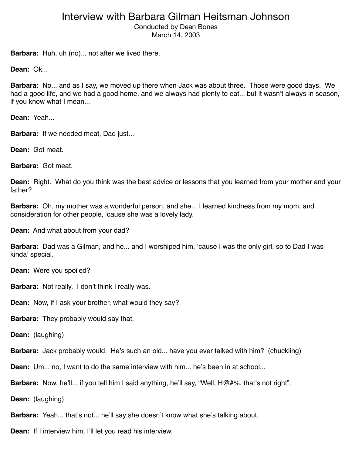Conducted by Dean Bones March 14, 2003

**Barbara:** Huh, uh (no)... not after we lived there.

**Dean:** Ok...

**Barbara:** No... and as I say, we moved up there when Jack was about three. Those were good days. We had a good life, and we had a good home, and we always had plenty to eat... but it wasn't always in season, if you know what I mean...

**Dean:** Yeah...

**Barbara:** If we needed meat, Dad just...

**Dean:** Got meat.

**Barbara:** Got meat.

**Dean:** Right. What do you think was the best advice or lessons that you learned from your mother and your father?

**Barbara:** Oh, my mother was a wonderful person, and she... I learned kindness from my mom, and consideration for other people, ʻcause she was a lovely lady.

**Dean:** And what about from your dad?

**Barbara:** Dad was a Gilman, and he... and I worshiped him, ʻcause I was the only girl, so to Dad I was kinda' special.

**Dean:** Were you spoiled?

**Barbara:** Not really. I don't think I really was.

**Dean:** Now, if I ask your brother, what would they say?

**Barbara:** They probably would say that.

**Dean:** (laughing)

**Barbara:** Jack probably would. He's such an old... have you ever talked with him? (chuckling)

**Dean:** Um... no, I want to do the same interview with him... he's been in at school...

**Barbara:** Now, he'll... if you tell him I said anything, he'll say, "Well, H@#%, that's not right".

**Dean:** (laughing)

**Barbara:** Yeah... that's not... he'll say she doesn't know what she's talking about.

**Dean:** If I interview him, I'll let you read his interview.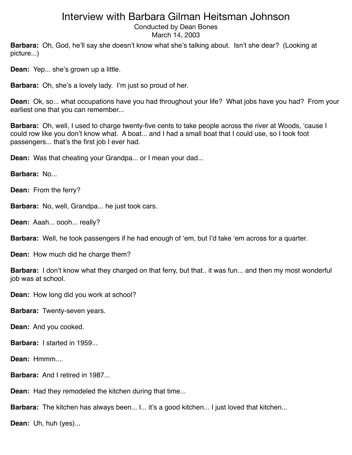Conducted by Dean Bones March 14, 2003

**Barbara:** Oh, God, he'll say she doesn't know what she's talking about. Isn't she dear? (Looking at picture...)

**Dean:** Yep... she's grown up a little.

**Barbara:** Oh, she's a lovely lady. I'm just so proud of her.

**Dean:** Ok, so... what occupations have you had throughout your life? What jobs have you had? From your earliest one that you can remember...

**Barbara:** Oh, well, I used to charge twenty-five cents to take people across the river at Woods, ʻcause I could row like you don't know what. A boat... and I had a small boat that I could use, so I took foot passengers... that's the first job I ever had.

**Dean:** Was that cheating your Grandpa... or I mean your dad...

**Barbara:** No...

**Dean:** From the ferry?

**Barbara:** No, well, Grandpa... he just took cars.

**Dean:** Aaah... oooh... really?

**Barbara:** Well, he took passengers if he had enough of ʻem, but I'd take ʻem across for a quarter.

**Dean:** How much did he charge them?

**Barbara:** I don't know what they charged on that ferry, but that.. it was fun... and then my most wonderful job was at school.

**Dean:** How long did you work at school?

**Barbara:** Twenty-seven years.

**Dean:** And you cooked.

**Barbara:** I started in 1959

**Dean:** Hmmm....

**Barbara:** And I retired in 1987...

**Dean:** Had they remodeled the kitchen during that time...

**Barbara:** The kitchen has always been... I... it's a good kitchen... I just loved that kitchen...

**Dean:** Uh, huh (yes)...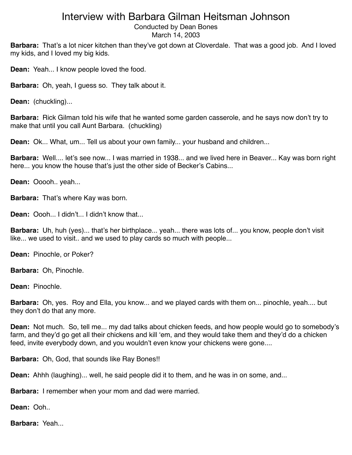Conducted by Dean Bones

March 14, 2003

**Barbara:** That's a lot nicer kitchen than they've got down at Cloverdale. That was a good job. And I loved my kids, and I loved my big kids.

**Dean:** Yeah... I know people loved the food.

**Barbara:** Oh, yeah, I guess so. They talk about it.

**Dean:** (chuckling)...

**Barbara:** Rick Gilman told his wife that he wanted some garden casserole, and he says now don't try to make that until you call Aunt Barbara. (chuckling)

**Dean:** Ok... What, um... Tell us about your own family... your husband and children...

**Barbara:** Well.... let's see now... I was married in 1938... and we lived here in Beaver... Kay was born right here... you know the house that's just the other side of Becker's Cabins...

**Dean:** Ooooh.. yeah...

**Barbara:** That's where Kay was born.

**Dean:** Oooh... I didn't... I didn't know that...

**Barbara:** Uh, huh (yes)... that's her birthplace... yeah... there was lots of... you know, people don't visit like... we used to visit.. and we used to play cards so much with people...

**Dean:** Pinochle, or Poker?

**Barbara:** Oh, Pinochle.

**Dean:** Pinochle.

**Barbara:** Oh, yes. Roy and Ella, you know... and we played cards with them on... pinochle, yeah.... but they don't do that any more.

**Dean:** Not much. So, tell me... my dad talks about chicken feeds, and how people would go to somebody's farm, and they'd go get all their chickens and kill ʻem, and they would take them and they'd do a chicken feed, invite everybody down, and you wouldn't even know your chickens were gone....

**Barbara:** Oh, God, that sounds like Ray Bones!!

**Dean:** Ahhh (laughing)... well, he said people did it to them, and he was in on some, and...

**Barbara:** I remember when your mom and dad were married.

**Dean:** Ooh..

**Barbara:** Yeah...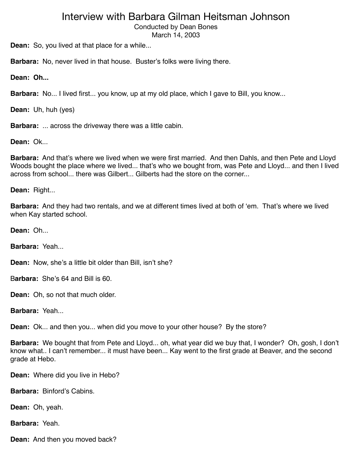Conducted by Dean Bones

March 14, 2003

**Dean:** So, you lived at that place for a while...

**Barbara:** No, never lived in that house. Buster's folks were living there.

**Dean: Oh...**

**Barbara:** No... I lived first... you know, up at my old place, which I gave to Bill, you know...

**Dean:** Uh, huh (yes)

**Barbara:** ... across the driveway there was a little cabin.

**Dean:** Ok...

**Barbara:** And that's where we lived when we were first married. And then Dahls, and then Pete and Lloyd Woods bought the place where we lived... that's who we bought from, was Pete and Lloyd... and then I lived across from school... there was Gilbert... Gilberts had the store on the corner...

**Dean:** Right...

**Barbara:** And they had two rentals, and we at different times lived at both of ʻem. That's where we lived when Kay started school.

**Dean:** Oh...

**Barbara:** Yeah...

**Dean:** Now, she's a little bit older than Bill, isn't she?

B**arbara:** She's 64 and Bill is 60.

**Dean:** Oh, so not that much older.

**Barbara:** Yeah...

**Dean:** Ok... and then you... when did you move to your other house? By the store?

**Barbara:** We bought that from Pete and Lloyd... oh, what year did we buy that, I wonder? Oh, gosh, I don't know what.. I can't remember... it must have been... Kay went to the first grade at Beaver, and the second grade at Hebo.

**Dean:** Where did you live in Hebo?

**Barbara:** Binford's Cabins.

**Dean:** Oh, yeah.

**Barbara:** Yeah.

**Dean:** And then you moved back?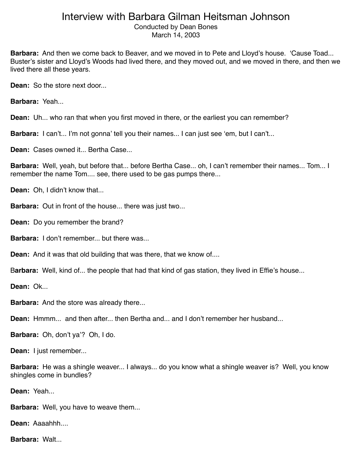Conducted by Dean Bones March 14, 2003

**Barbara:** And then we come back to Beaver, and we moved in to Pete and Lloyd's house. ʻCause Toad... Buster's sister and Lloyd's Woods had lived there, and they moved out, and we moved in there, and then we lived there all these years.

**Dean:** So the store next door...

**Barbara:** Yeah...

**Dean:** Uh... who ran that when you first moved in there, or the earliest you can remember?

**Barbara:** I can't... I'm not gonna' tell you their names... I can just see 'em, but I can't...

**Dean:** Cases owned it... Bertha Case...

**Barbara:** Well, yeah, but before that... before Bertha Case... oh, I can't remember their names... Tom... I remember the name Tom.... see, there used to be gas pumps there...

**Dean:** Oh, I didn't know that...

**Barbara:** Out in front of the house... there was just two...

**Dean:** Do you remember the brand?

**Barbara:** I don't remember... but there was...

**Dean:** And it was that old building that was there, that we know of....

B**arbara:** Well, kind of... the people that had that kind of gas station, they lived in Effie's house...

**Dean:** Ok...

**Barbara:** And the store was already there...

**Dean:** Hmmm... and then after... then Bertha and... and I don't remember her husband...

**Barbara:** Oh, don't ya'? Oh, I do.

**Dean:** I just remember...

**Barbara:** He was a shingle weaver... I always... do you know what a shingle weaver is? Well, you know shingles come in bundles?

**Dean:** Yeah...

**Barbara:** Well, you have to weave them...

**Dean:** Aaaahhh....

**Barbara: Walt...**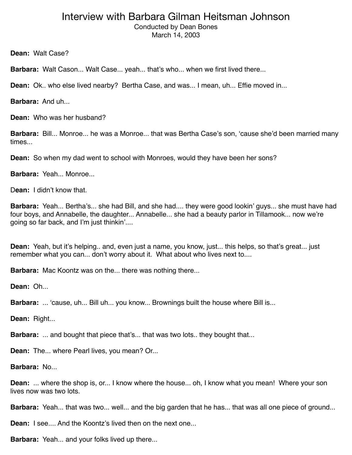Conducted by Dean Bones March 14, 2003

**Dean:** Walt Case?

**Barbara:** Walt Cason... Walt Case... yeah... that's who... when we first lived there...

**Dean:** Ok.. who else lived nearby? Bertha Case, and was... I mean, uh... Effie moved in...

**Barbara:** And uh...

**Dean:** Who was her husband?

**Barbara:** Bill... Monroe... he was a Monroe... that was Bertha Case's son, ʻcause she'd been married many times...

**Dean:** So when my dad went to school with Monroes, would they have been her sons?

**Barbara:** Yeah... Monroe...

D**ean:** I didn't know that.

**Barbara:** Yeah... Bertha's... she had Bill, and she had.... they were good lookin' guys... she must have had four boys, and Annabelle, the daughter... Annabelle... she had a beauty parlor in Tillamook... now we're going so far back, and I'm just thinkin'....

**Dean:** Yeah, but it's helping.. and, even just a name, you know, just... this helps, so that's great... just remember what you can... don't worry about it. What about who lives next to....

**Barbara:** Mac Koontz was on the... there was nothing there...

**Dean:** Oh...

**Barbara:** ... 'cause, uh... Bill uh... you know... Brownings built the house where Bill is...

**Dean:** Right...

**Barbara:** ... and bought that piece that's... that was two lots.. they bought that...

**Dean:** The... where Pearl lives, you mean? Or...

**Barbara:** No...

**Dean:** ... where the shop is, or... I know where the house... oh, I know what you mean! Where your son lives now was two lots.

**Barbara:** Yeah... that was two... well... and the big garden that he has... that was all one piece of ground...

**Dean:** I see.... And the Koontz's lived then on the next one...

**Barbara:** Yeah... and your folks lived up there...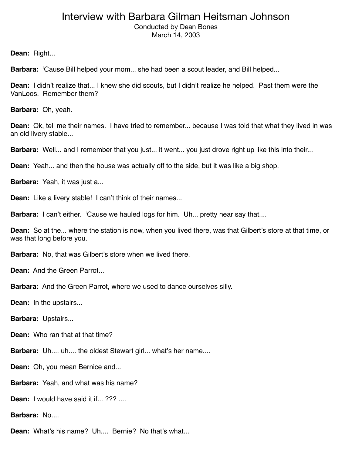Conducted by Dean Bones March 14, 2003

**Dean:** Right...

**Barbara:** ʻCause Bill helped your mom... she had been a scout leader, and Bill helped...

**Dean:** I didn't realize that... I knew she did scouts, but I didn't realize he helped. Past them were the VanLoos. Remember them?

**Barbara:** Oh, yeah.

**Dean:** Ok, tell me their names. I have tried to remember... because I was told that what they lived in was an old livery stable...

**Barbara:** Well... and I remember that you just... it went... you just drove right up like this into their...

**Dean:** Yeah... and then the house was actually off to the side, but it was like a big shop.

**Barbara:** Yeah, it was just a...

**Dean:** Like a livery stable! I can't think of their names...

**Barbara:** I can't either. 'Cause we hauled logs for him. Uh... pretty near say that....

**Dean:** So at the... where the station is now, when you lived there, was that Gilbert's store at that time, or was that long before you.

**Barbara:** No, that was Gilbert's store when we lived there.

**Dean:** And the Green Parrot...

**Barbara:** And the Green Parrot, where we used to dance ourselves silly.

**Dean:** In the upstairs...

**Barbara:** Upstairs...

**Dean:** Who ran that at that time?

**Barbara:** Uh.... uh.... the oldest Stewart girl... what's her name....

**Dean:** Oh, you mean Bernice and...

**Barbara:** Yeah, and what was his name?

**Dean:** I would have said it if... ??? ....

**Barbara:** No....

**Dean:** What's his name? Uh.... Bernie? No that's what...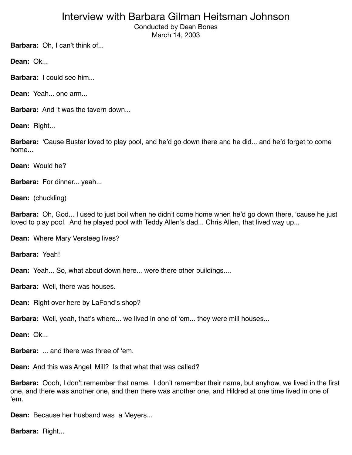Conducted by Dean Bones March 14, 2003

**Barbara:** Oh, I can't think of...

**Dean:** Ok...

**Barbara: I** could see him...

**Dean:** Yeah... one arm...

**Barbara:** And it was the tavern down...

**Dean:** Right...

**Barbara:** ʻCause Buster loved to play pool, and he'd go down there and he did... and he'd forget to come home...

**Dean:** Would he?

**Barbara:** For dinner... yeah...

**Dean:** (chuckling)

**Barbara:** Oh, God... I used to just boil when he didn't come home when he'd go down there, ʻcause he just loved to play pool. And he played pool with Teddy Allen's dad... Chris Allen, that lived way up...

**Dean:** Where Mary Versteeg lives?

**Barbara:** Yeah!

**Dean:** Yeah... So, what about down here... were there other buildings....

**Barbara:** Well, there was houses.

**Dean:** Right over here by LaFond's shop?

**Barbara:** Well, yeah, that's where... we lived in one of ʻem... they were mill houses...

**Dean:** Ok...

**Barbara:** ... and there was three of ʻem.

**Dean:** And this was Angell Mill? Is that what that was called?

**Barbara:** Oooh, I don't remember that name. I don't remember their name, but anyhow, we lived in the first one, and there was another one, and then there was another one, and Hildred at one time lived in one of ʻem.

**Dean:** Because her husband was a Meyers...

**Barbara:** Right...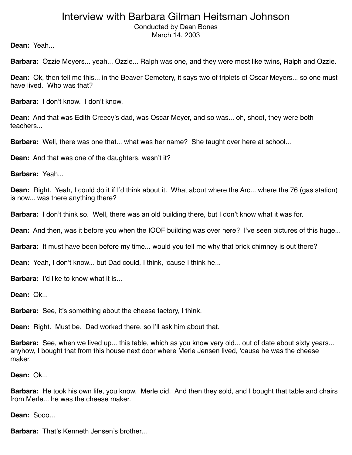Conducted by Dean Bones March 14, 2003

**Dean:** Yeah...

**Barbara:** Ozzie Meyers... yeah... Ozzie... Ralph was one, and they were most like twins, Ralph and Ozzie.

**Dean:** Ok, then tell me this... in the Beaver Cemetery, it says two of triplets of Oscar Meyers... so one must have lived. Who was that?

**Barbara:** I don't know. I don't know.

**Dean:** And that was Edith Creecy's dad, was Oscar Meyer, and so was... oh, shoot, they were both teachers...

**Barbara:** Well, there was one that... what was her name? She taught over here at school...

**Dean:** And that was one of the daughters, wasn't it?

**Barbara:** Yeah...

**Dean:** Right. Yeah, I could do it if I'd think about it. What about where the Arc... where the 76 (gas station) is now... was there anything there?

**Barbara:** I don't think so. Well, there was an old building there, but I don't know what it was for.

**Dean:** And then, was it before you when the IOOF building was over here? I've seen pictures of this huge...

**Barbara:** It must have been before my time... would you tell me why that brick chimney is out there?

**Dean:** Yeah, I don't know... but Dad could, I think, ʻcause I think he...

**Barbara:** I'd like to know what it is...

**Dean:** Ok...

**Barbara:** See, it's something about the cheese factory, I think.

**Dean:** Right. Must be. Dad worked there, so I'll ask him about that.

**Barbara:** See, when we lived up... this table, which as you know very old... out of date about sixty years... anyhow, I bought that from this house next door where Merle Jensen lived, ʻcause he was the cheese maker.

**Dean:** Ok...

**Barbara:** He took his own life, you know. Merle did. And then they sold, and I bought that table and chairs from Merle... he was the cheese maker.

**Dean:** Sooo...

**Barbara:** That's Kenneth Jensen's brother...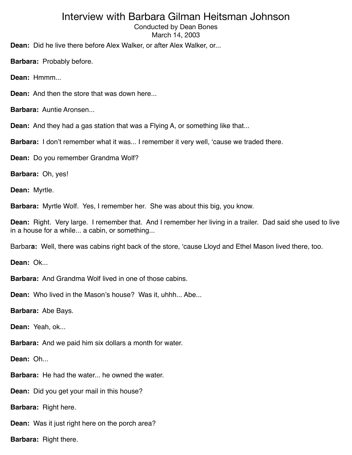Conducted by Dean Bones March 14, 2003

**Dean:** Did he live there before Alex Walker, or after Alex Walker, or...

**Barbara:** Probably before.

**Dean:** Hmmm...

**Dean:** And then the store that was down here...

**Barbara:** Auntie Aronsen...

**Dean:** And they had a gas station that was a Flying A, or something like that...

**Barbara:** I don't remember what it was... I remember it very well, ʻcause we traded there.

**Dean:** Do you remember Grandma Wolf?

**Barbara:** Oh, yes!

**Dean:** Myrtle.

**Barbara:** Myrtle Wolf. Yes, I remember her. She was about this big, you know.

**Dean:** Right. Very large. I remember that. And I remember her living in a trailer. Dad said she used to live in a house for a while... a cabin, or something...

Barbar**a:** Well, there was cabins right back of the store, ʻcause Lloyd and Ethel Mason lived there, too.

**Dean:** Ok...

**Barbara:** And Grandma Wolf lived in one of those cabins.

**Dean:** Who lived in the Mason's house? Was it, uhhh... Abe...

**Barbara:** Abe Bays.

**Dean:** Yeah, ok...

**Barbara:** And we paid him six dollars a month for water.

**Dean:** Oh...

**Barbara:** He had the water... he owned the water.

**Dean:** Did you get your mail in this house?

**Barbara:** Right here.

**Dean:** Was it just right here on the porch area?

**Barbara:** Right there.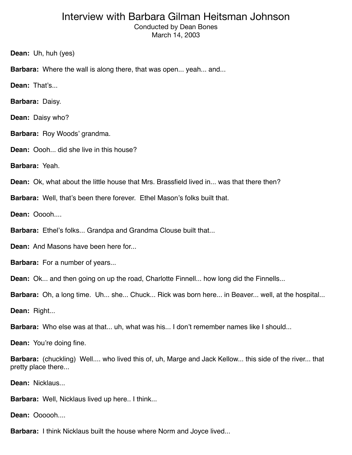Conducted by Dean Bones March 14, 2003

**Dean:** Uh, huh (yes)

**Barbara:** Where the wall is along there, that was open... yeah... and...

**Dean:** That's...

**Barbara:** Daisy.

**Dean:** Daisy who?

**Barbara:** Roy Woods' grandma.

**Dean:** Oooh... did she live in this house?

**Barbara:** Yeah.

**Dean:** Ok, what about the little house that Mrs. Brassfield lived in... was that there then?

**Barbara:** Well, that's been there forever. Ethel Mason's folks built that.

**Dean:** Ooooh....

**Barbara:** Ethel's folks... Grandpa and Grandma Clouse built that...

**Dean:** And Masons have been here for...

**Barbara:** For a number of years...

**Dean:** Ok... and then going on up the road, Charlotte Finnell... how long did the Finnells...

**Barbara:** Oh, a long time. Uh... she... Chuck... Rick was born here... in Beaver... well, at the hospital...

**Dean:** Right...

**Barbara:** Who else was at that... uh, what was his... I don't remember names like I should...

**Dean:** You're doing fine.

**Barbara:** (chuckling) Well.... who lived this of, uh, Marge and Jack Kellow... this side of the river... that pretty place there...

**Dean:** Nicklaus...

**Barbara:** Well, Nicklaus lived up here.. I think...

**Dean:** Oooooh

**Barbara:** I think Nicklaus built the house where Norm and Joyce lived...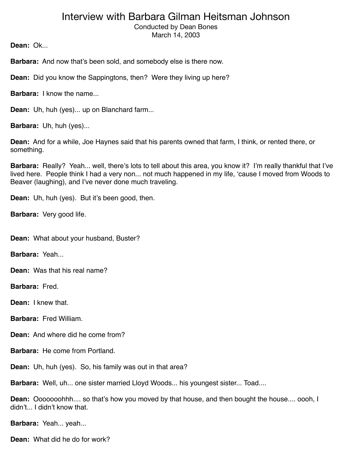Conducted by Dean Bones March 14, 2003

**Dean:** Ok...

**Barbara:** And now that's been sold, and somebody else is there now.

**Dean:** Did you know the Sappingtons, then? Were they living up here?

**Barbara:** I know the name...

**Dean:** Uh, huh (yes)... up on Blanchard farm...

**Barbara:** Uh, huh (yes)...

**Dean:** And for a while, Joe Haynes said that his parents owned that farm, I think, or rented there, or something.

**Barbara:** Really? Yeah... well, there's lots to tell about this area, you know it? I'm really thankful that I've lived here. People think I had a very non... not much happened in my life, ʻcause I moved from Woods to Beaver (laughing), and I've never done much traveling.

**Dean:** Uh, huh (yes). But it's been good, then.

**Barbara:** Very good life.

**Dean:** What about your husband, Buster?

**Barbara:** Yeah...

**Dean:** Was that his real name?

**Barbara:** Fred.

**Dean:** I knew that.

**Barbara:** Fred William.

**Dean:** And where did he come from?

**Barbara:** He come from Portland.

**Dean:** Uh, huh (yes). So, his family was out in that area?

**Barbara:** Well, uh... one sister married Lloyd Woods... his youngest sister... Toad....

**Dean:** Ooooooohhh.... so that's how you moved by that house, and then bought the house.... oooh, I didn't... I didn't know that.

**Barbara:** Yeah... yeah...

**Dean:** What did he do for work?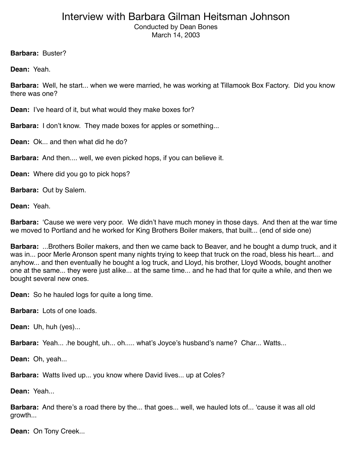Conducted by Dean Bones March 14, 2003

**Barbara:** Buster?

**Dean:** Yeah.

**Barbara:** Well, he start... when we were married, he was working at Tillamook Box Factory. Did you know there was one?

**Dean:** I've heard of it, but what would they make boxes for?

**Barbara:** I don't know. They made boxes for apples or something...

**Dean:** Ok... and then what did he do?

**Barbara:** And then.... well, we even picked hops, if you can believe it.

**Dean:** Where did you go to pick hops?

**Barbara:** Out by Salem.

**Dean:** Yeah.

**Barbara:** ʻCause we were very poor. We didn't have much money in those days. And then at the war time we moved to Portland and he worked for King Brothers Boiler makers, that built... (end of side one)

**Barbara:** ...Brothers Boiler makers, and then we came back to Beaver, and he bought a dump truck, and it was in... poor Merle Aronson spent many nights trying to keep that truck on the road, bless his heart... and anyhow... and then eventually he bought a log truck, and Lloyd, his brother, Lloyd Woods, bought another one at the same... they were just alike... at the same time... and he had that for quite a while, and then we bought several new ones.

**Dean:** So he hauled logs for quite a long time.

**Barbara:** Lots of one loads.

**Dean:** Uh, huh (yes)...

**Barbara:** Yeah... .he bought, uh... oh..... what's Joyce's husband's name? Char... Watts...

**Dean:** Oh, yeah...

**Barbara:** Watts lived up... you know where David lives... up at Coles?

**Dean:** Yeah...

**Barbara:** And there's a road there by the... that goes... well, we hauled lots of... ʻcause it was all old growth...

**Dean:** On Tony Creek...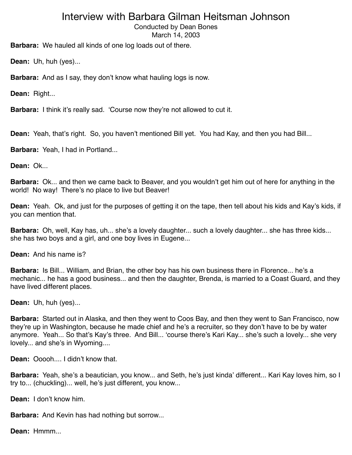Conducted by Dean Bones

March 14, 2003

**Barbara:** We hauled all kinds of one log loads out of there.

**Dean:** Uh, huh (yes)...

**Barbara:** And as I say, they don't know what hauling logs is now.

**Dean:** Right...

**Barbara:** I think it's really sad. ʻCourse now they're not allowed to cut it.

**Dean:** Yeah, that's right. So, you haven't mentioned Bill yet. You had Kay, and then you had Bill...

**Barbara:** Yeah, I had in Portland...

**Dean:** Ok...

**Barbara:** Ok... and then we came back to Beaver, and you wouldn't get him out of here for anything in the world! No way! There's no place to live but Beaver!

**Dean:** Yeah. Ok, and just for the purposes of getting it on the tape, then tell about his kids and Kay's kids, if you can mention that.

**Barbara:** Oh, well, Kay has, uh... she's a lovely daughter... such a lovely daughter... she has three kids... she has two boys and a girl, and one boy lives in Eugene...

**Dean:** And his name is?

**Barbara:** Is Bill... William, and Brian, the other boy has his own business there in Florence... he's a mechanic... he has a good business... and then the daughter, Brenda, is married to a Coast Guard, and they have lived different places.

**Dean:** Uh, huh (yes)...

**Barbara:** Started out in Alaska, and then they went to Coos Bay, and then they went to San Francisco, now they're up in Washington, because he made chief and he's a recruiter, so they don't have to be by water anymore. Yeah... So that's Kay's three. And Bill... ʻcourse there's Kari Kay... she's such a lovely... she very lovely... and she's in Wyoming....

**Dean:** Ooooh.... I didn't know that.

**Barbara:** Yeah, she's a beautician, you know... and Seth, he's just kinda' different... Kari Kay loves him, so I try to... (chuckling)... well, he's just different, you know...

**Dean:** I don't know him.

**Barbara:** And Kevin has had nothing but sorrow...

**Dean:** Hmmm...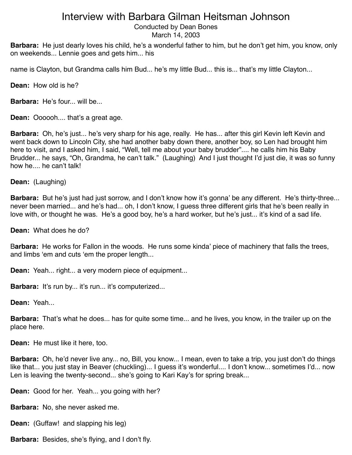Conducted by Dean Bones

March 14, 2003

**Barbara:** He just dearly loves his child, he's a wonderful father to him, but he don't get him, you know, only on weekends... Lennie goes and gets him... his

name is Clayton, but Grandma calls him Bud... he's my little Bud... this is... that's my little Clayton...

**Dean:** How old is he?

**Barbara:** He's four... will be...

**Dean:** Oooooh.... that's a great age.

**Barbara:** Oh, he's just... he's very sharp for his age, really. He has... after this girl Kevin left Kevin and went back down to Lincoln City, she had another baby down there, another boy, so Len had brought him here to visit, and I asked him, I said, "Well, tell me about your baby brudder".... he calls him his Baby Brudder... he says, "Oh, Grandma, he can't talk." (Laughing) And I just thought I'd just die, it was so funny how he.... he can't talk!

**Dean:** (Laughing)

**Barbara:** But he's just had just sorrow, and I don't know how it's gonna' be any different. He's thirty-three... never been married... and he's had... oh, I don't know, I guess three different girls that he's been really in love with, or thought he was. He's a good boy, he's a hard worker, but he's just... it's kind of a sad life.

**Dean:** What does he do?

B**arbara:** He works for Fallon in the woods. He runs some kinda' piece of machinery that falls the trees, and limbs ʻem and cuts ʻem the proper length...

**Dean:** Yeah... right... a very modern piece of equipment...

**Barbara:** It's run by... it's run... it's computerized...

**Dean:** Yeah...

**Barbara:** That's what he does... has for quite some time... and he lives, you know, in the trailer up on the place here.

**Dean:** He must like it here, too.

**Barbara:** Oh, he'd never live any... no, Bill, you know... I mean, even to take a trip, you just don't do things like that... you just stay in Beaver (chuckling)... I guess it's wonderful.... I don't know... sometimes I'd... now Len is leaving the twenty-second... she's going to Kari Kay's for spring break...

**Dean:** Good for her. Yeah... you going with her?

**Barbara:** No, she never asked me.

**Dean:** (Guffaw! and slapping his leg)

**Barbara:** Besides, she's flying, and I don't fly.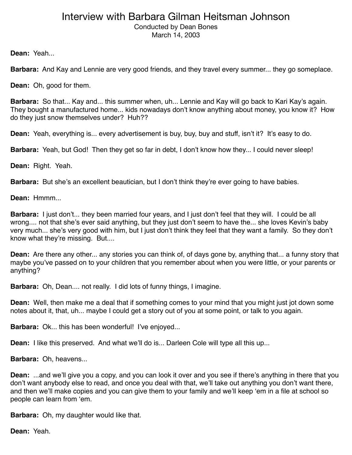Conducted by Dean Bones March 14, 2003

**Dean:** Yeah...

**Barbara:** And Kay and Lennie are very good friends, and they travel every summer... they go someplace.

**Dean:** Oh, good for them.

**Barbara:** So that... Kay and... this summer when, uh... Lennie and Kay will go back to Kari Kay's again. They bought a manufactured home... kids nowadays don't know anything about money, you know it? How do they just snow themselves under? Huh??

**Dean:** Yeah, everything is... every advertisement is buy, buy, buy and stuff, isn't it? It's easy to do.

**Barbara:** Yeah, but God! Then they get so far in debt, I don't know how they... I could never sleep!

**Dean:** Right. Yeah.

**Barbara:** But she's an excellent beautician, but I don't think they're ever going to have babies.

**Dean:** Hmmm...

**Barbara:** I just don't... they been married four years, and I just don't feel that they will. I could be all wrong.... not that she's ever said anything, but they just don't seem to have the... she loves Kevin's baby very much... she's very good with him, but I just don't think they feel that they want a family. So they don't know what they're missing. But....

**Dean:** Are there any other... any stories you can think of, of days gone by, anything that... a funny story that maybe you've passed on to your children that you remember about when you were little, or your parents or anything?

**Barbara:** Oh, Dean.... not really. I did lots of funny things, I imagine.

**Dean:** Well, then make me a deal that if something comes to your mind that you might just jot down some notes about it, that, uh... maybe I could get a story out of you at some point, or talk to you again.

**Barbara:** Ok... this has been wonderful! I've enjoyed...

**Dean:** I like this preserved. And what we'll do is... Darleen Cole will type all this up...

**Barbara:** Oh, heavens...

**Dean:** ...and we'll give you a copy, and you can look it over and you see if there's anything in there that you don't want anybody else to read, and once you deal with that, we'll take out anything you don't want there, and then we'll make copies and you can give them to your family and we'll keep ʻem in a file at school so people can learn from ʻem.

**Barbara:** Oh, my daughter would like that.

**Dean:** Yeah.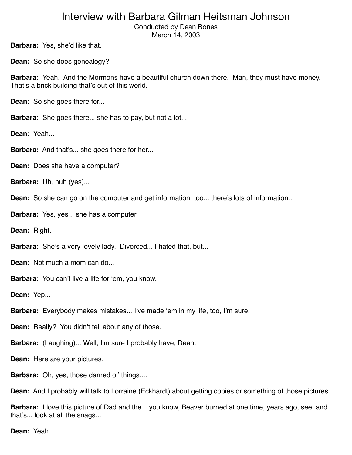Conducted by Dean Bones March 14, 2003

**Barbara:** Yes, she'd like that.

**Dean:** So she does genealogy?

**Barbara:** Yeah. And the Mormons have a beautiful church down there. Man, they must have money. That's a brick building that's out of this world.

**Dean:** So she goes there for...

**Barbara:** She goes there... she has to pay, but not a lot...

**Dean:** Yeah...

**Barbara:** And that's... she goes there for her...

**Dean:** Does she have a computer?

**Barbara:** Uh, huh (yes)...

**Dean:** So she can go on the computer and get information, too... there's lots of information...

**Barbara:** Yes, yes... she has a computer.

**Dean:** Right.

**Barbara:** She's a very lovely lady. Divorced... I hated that, but...

**Dean:** Not much a mom can do...

**Barbara:** You can't live a life for ʻem, you know.

**Dean:** Yep...

**Barbara:** Everybody makes mistakes... I've made ʻem in my life, too, I'm sure.

**Dean:** Really? You didn't tell about any of those.

**Barbara:** (Laughing)... Well, I'm sure I probably have, Dean.

**Dean:** Here are your pictures.

**Barbara:** Oh, yes, those darned ol' things....

**Dean:** And I probably will talk to Lorraine (Eckhardt) about getting copies or something of those pictures.

**Barbara:** I love this picture of Dad and the... you know, Beaver burned at one time, years ago, see, and that's... look at all the snags...

**Dean:** Yeah...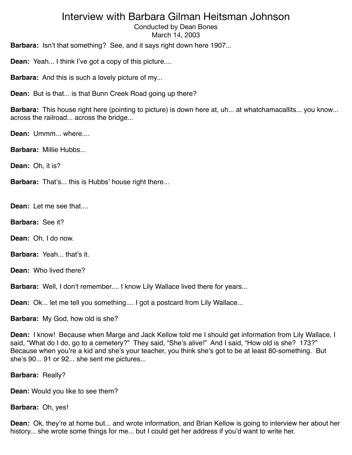Conducted by Dean Bones March 14, 2003

**Barbara:** Isn't that something? See, and it says right down here 1907...

**Dean:** Yeah... I think I've got a copy of this picture....

**Barbara:** And this is such a lovely picture of my...

**Dean:** But is that... is that Bunn Creek Road going up there?

**Barbara:** This house right here (pointing to picture) is down here at, uh... at whatchamacallits... you know... across the railroad... across the bridge...

**Dean:** Ummm... where....

**Barbara:** Millie Hubbs...

**Dean:** Oh, it is?

**Barbara:** That's... this is Hubbs' house right there...

**Dean:** Let me see that....

**Barbara:** See it?

**Dean:** Oh, I do now.

**Barbara:** Yeah... that's it.

**Dean:** Who lived there?

**Barbara:** Well, I don't remember.... I know Lily Wallace lived there for years...

**Dean:** Ok... let me tell you something.... I got a postcard from Lily Wallace...

**Barbara:** My God, how old is she?

**Dean:** I know! Because when Marge and Jack Kellow told me I should get information from Lily Wallace, I said, "What do I do, go to a cemetery?" They said, "She's alive!" And I said, "How old is she? 173?" Because when you're a kid and she's your teacher, you think she's got to be at least 80-something. But she's 90... 91 or 92... she sent me pictures...

**Barbara:** Really?

**Dean:** Would you like to see them?

**Barbara:** Oh, yes!

**Dean:** Ok, they're at home but... and wrote information, and Brian Kellow is going to interview her about her history... she wrote some things for me... but I could get her address if you'd want to write her.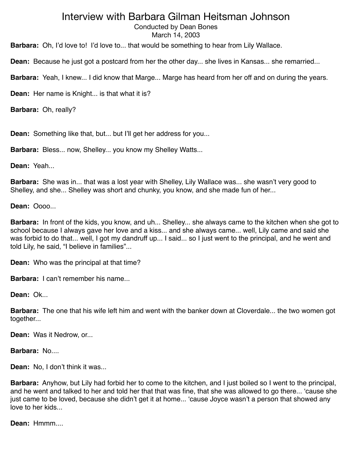Conducted by Dean Bones

March 14, 2003

**Barbara:** Oh, I'd love to! I'd love to... that would be something to hear from Lily Wallace.

**Dean:** Because he just got a postcard from her the other day... she lives in Kansas... she remarried...

**Barbara:** Yeah, I knew... I did know that Marge... Marge has heard from her off and on during the years.

**Dean:** Her name is Knight... is that what it is?

**Barbara:** Oh, really?

**Dean:** Something like that, but... but I'll get her address for you...

**Barbara:** Bless... now, Shelley... you know my Shelley Watts...

**Dean:** Yeah...

**Barbara:** She was in... that was a lost year with Shelley, Lily Wallace was... she wasn't very good to Shelley, and she... Shelley was short and chunky, you know, and she made fun of her...

**Dean:** Oooo...

**Barbara:** In front of the kids, you know, and uh... Shelley... she always came to the kitchen when she got to school because I always gave her love and a kiss... and she always came... well, Lily came and said she was forbid to do that... well, I got my dandruff up... I said... so I just went to the principal, and he went and told Lily, he said, "I believe in families"...

**Dean:** Who was the principal at that time?

**Barbara:** I can't remember his name...

**Dean:** Ok...

**Barbara:** The one that his wife left him and went with the banker down at Cloverdale... the two women got together...

**Dean:** Was it Nedrow, or...

**Barbara:** No....

**Dean:** No, I don't think it was...

**Barbara:** Anyhow, but Lily had forbid her to come to the kitchen, and I just boiled so I went to the principal, and he went and talked to her and told her that that was fine, that she was allowed to go there... ʻcause she just came to be loved, because she didn't get it at home... ʻcause Joyce wasn't a person that showed any love to her kids...

**Dean:** Hmmm....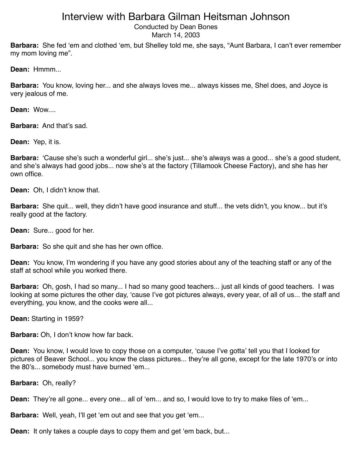Conducted by Dean Bones

March 14, 2003

**Barbara:** She fed ʻem and clothed ʻem, but Shelley told me, she says, "Aunt Barbara, I can't ever remember my mom loving me".

**Dean:** Hmmm...

**Barbara:** You know, loving her... and she always loves me... always kisses me, Shel does, and Joyce is very jealous of me.

**Dean:** Wow....

**Barbara:** And that's sad.

**Dean:** Yep, it is.

**Barbara:** ʻCause she's such a wonderful girl... she's just... she's always was a good... she's a good student, and she's always had good jobs... now she's at the factory (Tillamook Cheese Factory), and she has her own office.

**Dean:** Oh, I didn't know that.

**Barbara:** She quit... well, they didn't have good insurance and stuff... the vets didn't, you know... but it's really good at the factory.

**Dean:** Sure... good for her.

**Barbara:** So she quit and she has her own office.

**Dean:** You know, I'm wondering if you have any good stories about any of the teaching staff or any of the staff at school while you worked there.

**Barbara:** Oh, gosh, I had so many... I had so many good teachers... just all kinds of good teachers. I was looking at some pictures the other day, ʻcause I've got pictures always, every year, of all of us... the staff and everything, you know, and the cooks were all...

**Dean:** Starting in 1959?

**Barbara:** Oh, I don't know how far back.

**Dean:** You know, I would love to copy those on a computer, ʻcause I've gotta' tell you that I looked for pictures of Beaver School... you know the class pictures... they're all gone, except for the late 1970's or into the 80's... somebody must have burned ʻem...

**Barbara:** Oh, really?

**Dean:** They're all gone... every one... all of 'em... and so, I would love to try to make files of 'em...

**Barbara:** Well, yeah, I'll get ʻem out and see that you get ʻem...

**Dean:** It only takes a couple days to copy them and get ʻem back, but...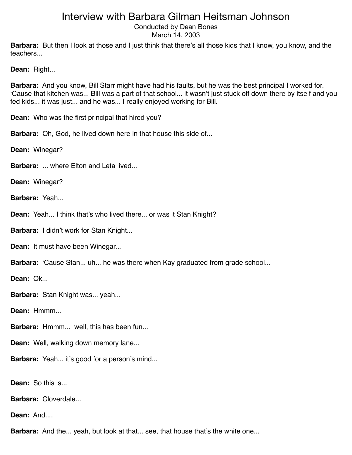Conducted by Dean Bones March 14, 2003

**Barbara:** But then I look at those and I just think that there's all those kids that I know, you know, and the teachers...

**Dean:** Right...

**Barbara:** And you know, Bill Starr might have had his faults, but he was the best principal I worked for. ʻCause that kitchen was... Bill was a part of that school... it wasn't just stuck off down there by itself and you fed kids... it was just... and he was... I really enjoyed working for Bill.

**Dean:** Who was the first principal that hired you?

**Barbara:** Oh, God, he lived down here in that house this side of...

**Dean:** Winegar?

**Barbara:** ... where Elton and Leta lived...

**Dean:** Winegar?

**Barbara:** Yeah...

**Dean:** Yeah... I think that's who lived there... or was it Stan Knight?

**Barbara:** I didn't work for Stan Knight...

**Dean: It must have been Winegar...** 

**Barbara:** ʻCause Stan... uh... he was there when Kay graduated from grade school...

**Dean:** Ok...

**Barbara:** Stan Knight was... yeah...

**Dean:** Hmmm...

**Barbara:** Hmmm... well, this has been fun...

**Dean:** Well, walking down memory lane...

**Barbara:** Yeah... it's good for a person's mind...

**Dean:** So this is...

**Barbara:** Cloverdale...

Dean: And....

**Barbara:** And the... yeah, but look at that... see, that house that's the white one...